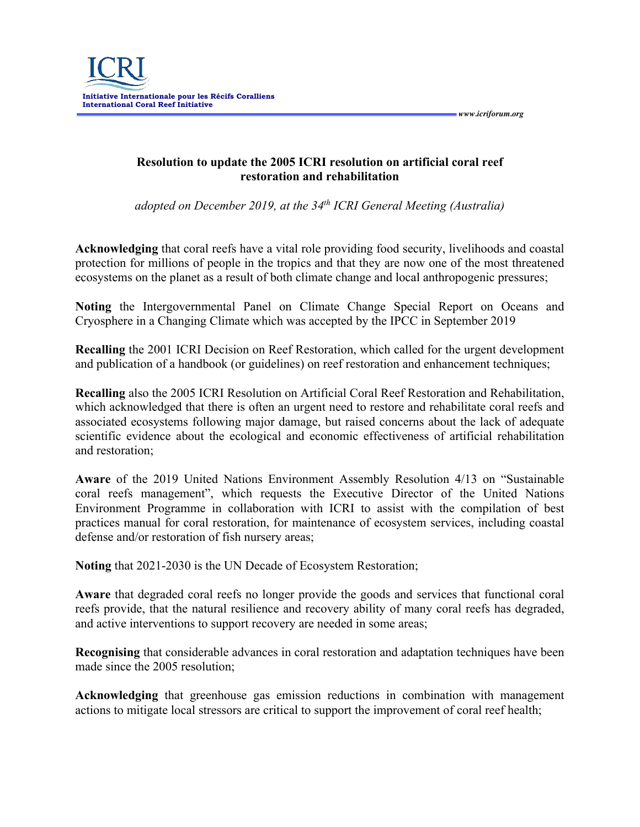

**Resolution to update the 2005 ICRI resolution on artificial coral reef restoration and rehabilitation**

*adopted on December 2019, at the 34th ICRI General Meeting (Australia)*

**Acknowledging** that coral reefs have a vital role providing food security, livelihoods and coastal protection for millions of people in the tropics and that they are now one of the most threatened ecosystems on the planet as a result of both climate change and local anthropogenic pressures;

**Noting** the Intergovernmental Panel on Climate Change Special Report on Oceans and Cryosphere in a Changing Climate which was accepted by the IPCC in September 2019

**Recalling** the 2001 ICRI Decision on Reef Restoration, which called for the urgent development and publication of a handbook (or guidelines) on reef restoration and enhancement techniques;

**Recalling** also the 2005 ICRI Resolution on Artificial Coral Reef Restoration and Rehabilitation, which acknowledged that there is often an urgent need to restore and rehabilitate coral reefs and associated ecosystems following major damage, but raised concerns about the lack of adequate scientific evidence about the ecological and economic effectiveness of artificial rehabilitation and restoration;

**Aware** of the 2019 United Nations Environment Assembly Resolution 4/13 on "Sustainable coral reefs management", which requests the Executive Director of the United Nations Environment Programme in collaboration with ICRI to assist with the compilation of best practices manual for coral restoration, for maintenance of ecosystem services, including coastal defense and/or restoration of fish nursery areas;

**Noting** that 2021-2030 is the UN Decade of Ecosystem Restoration;

**Aware** that degraded coral reefs no longer provide the goods and services that functional coral reefs provide, that the natural resilience and recovery ability of many coral reefs has degraded, and active interventions to support recovery are needed in some areas;

**Recognising** that considerable advances in coral restoration and adaptation techniques have been made since the 2005 resolution;

**Acknowledging** that greenhouse gas emission reductions in combination with management actions to mitigate local stressors are critical to support the improvement of coral reef health;